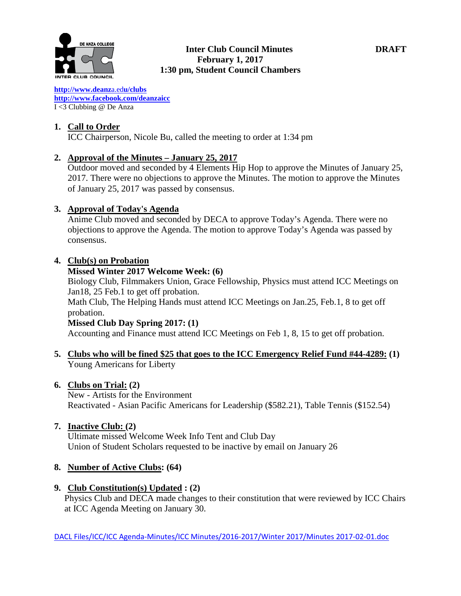

**[http://www.deanz](http://www.deanza.edu/clubs)**[a.ed](http://www.deanza.edu/clubs)**[u/clubs](http://www.deanza.edu/clubs) [http://www.facebook.com/deanzaicc](http://www.facebook.com/home.php#!/group.php?gid=59034552686)** I <3 Clubbing @ De Anza

# **1. Call to Order**

ICC Chairperson, Nicole Bu, called the meeting to order at 1:34 pm

# **2. Approval of the Minutes – January 25, 2017**

Outdoor moved and seconded by 4 Elements Hip Hop to approve the Minutes of January 25, 2017. There were no objections to approve the Minutes. The motion to approve the Minutes of January 25, 2017 was passed by consensus.

# **3. Approval of Today's Agenda**

Anime Club moved and seconded by DECA to approve Today's Agenda. There were no objections to approve the Agenda. The motion to approve Today's Agenda was passed by consensus.

# **4. Club(s) on Probation**

# **Missed Winter 2017 Welcome Week: (6)**

Biology Club, Filmmakers Union, Grace Fellowship, Physics must attend ICC Meetings on Jan18, 25 Feb.1 to get off probation.

Math Club, The Helping Hands must attend ICC Meetings on Jan.25, Feb.1, 8 to get off probation.

# **Missed Club Day Spring 2017: (1)**

Accounting and Finance must attend ICC Meetings on Feb 1, 8, 15 to get off probation.

**5. Clubs who will be fined \$25 that goes to the ICC Emergency Relief Fund #44-4289: (1)** Young Americans for Liberty

# **6. Clubs on Trial: (2)**

New - Artists for the Environment Reactivated - Asian Pacific Americans for Leadership (\$582.21), Table Tennis (\$152.54)

# **7. Inactive Club: (2)**

Ultimate missed Welcome Week Info Tent and Club Day Union of Student Scholars requested to be inactive by email on January 26

# **8. Number of Active Clubs: (64)**

# **9. Club Constitution(s) Updated : (2)**

Physics Club and DECA made changes to their constitution that were reviewed by ICC Chairs at ICC Agenda Meeting on January 30.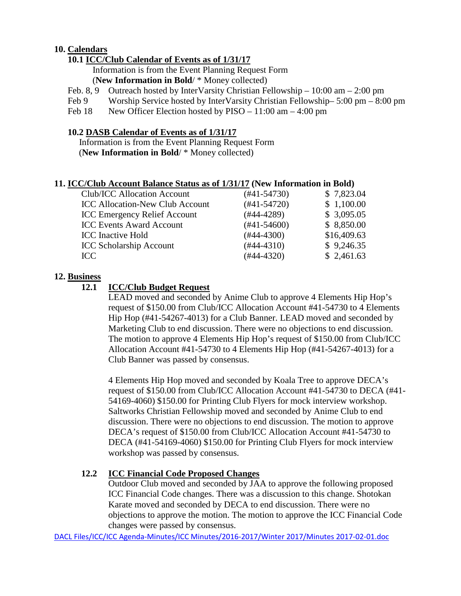# **10. Calendars**

# **10.1 ICC/Club Calendar of Events as of 1/31/17**

 Information is from the Event Planning Request Form (**New Information in Bold**/ \* Money collected)

- Feb. 8, 9 Outreach hosted by InterVarsity Christian Fellowship 10:00 am 2:00 pm
- Feb 9 Worship Service hosted by InterVarsity Christian Fellowship– 5:00 pm 8:00 pm

Feb 18 New Officer Election hosted by PISO – 11:00 am – 4:00 pm

#### **10.2 DASB Calendar of Events as of 1/31/17**

Information is from the Event Planning Request Form (**New Information in Bold**/ \* Money collected)

#### **11. ICC/Club Account Balance Status as of 1/31/17 (New Information in Bold)**

| <b>Club/ICC Allocation Account</b>     | $(#41-54730)$ | \$7,823.04  |
|----------------------------------------|---------------|-------------|
| <b>ICC Allocation-New Club Account</b> | $(#41-54720)$ | \$1,100.00  |
| <b>ICC Emergency Relief Account</b>    | $(#44-4289)$  | \$3,095.05  |
| <b>ICC Events Award Account</b>        | $(#41-54600)$ | \$8,850.00  |
| <b>ICC</b> Inactive Hold               | $(#44-4300)$  | \$16,409.63 |
| <b>ICC Scholarship Account</b>         | $(#44-4310)$  | \$9,246.35  |
| ICC                                    | $(#44-4320)$  | \$2,461.63  |

#### **12. Business**

#### **12.1 ICC/Club Budget Request**

LEAD moved and seconded by Anime Club to approve 4 Elements Hip Hop's request of \$150.00 from Club/ICC Allocation Account #41-54730 to 4 Elements Hip Hop (#41-54267-4013) for a Club Banner. LEAD moved and seconded by Marketing Club to end discussion. There were no objections to end discussion. The motion to approve 4 Elements Hip Hop's request of \$150.00 from Club/ICC Allocation Account #41-54730 to 4 Elements Hip Hop (#41-54267-4013) for a Club Banner was passed by consensus.

4 Elements Hip Hop moved and seconded by Koala Tree to approve DECA's request of \$150.00 from Club/ICC Allocation Account #41-54730 to DECA (#41- 54169-4060) \$150.00 for Printing Club Flyers for mock interview workshop. Saltworks Christian Fellowship moved and seconded by Anime Club to end discussion. There were no objections to end discussion. The motion to approve DECA's request of \$150.00 from Club/ICC Allocation Account #41-54730 to DECA (#41-54169-4060) \$150.00 for Printing Club Flyers for mock interview workshop was passed by consensus.

# **12.2 ICC Financial Code Proposed Changes**

Outdoor Club moved and seconded by JAA to approve the following proposed ICC Financial Code changes. There was a discussion to this change. Shotokan Karate moved and seconded by DECA to end discussion. There were no objections to approve the motion. The motion to approve the ICC Financial Code changes were passed by consensus.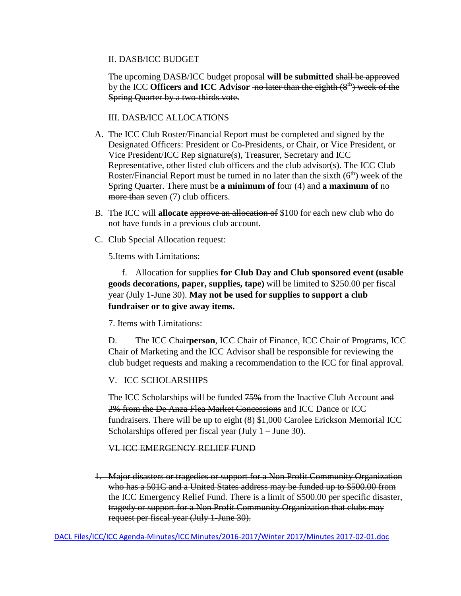#### II. DASB/ICC BUDGET

The upcoming DASB/ICC budget proposal **will be submitted** shall be approved by the ICC **Officers and ICC** Advisor -no later than the eighth (8<sup>th</sup>) week of the Spring Quarter by a two-thirds vote.

III. DASB/ICC ALLOCATIONS

- A. The ICC Club Roster/Financial Report must be completed and signed by the Designated Officers: President or Co-Presidents, or Chair, or Vice President, or Vice President/ICC Rep signature(s), Treasurer, Secretary and ICC Representative, other listed club officers and the club advisor(s). The ICC Club Roster/Financial Report must be turned in no later than the sixth  $(6<sup>th</sup>)$  week of the Spring Quarter. There must be **a minimum of** four (4) and **a maximum of** no more than seven (7) club officers.
- B. The ICC will **allocate** approve an allocation of \$100 for each new club who do not have funds in a previous club account.
- C. Club Special Allocation request:

5.Items with Limitations:

 f. Allocation for supplies **for Club Day and Club sponsored event (usable goods decorations, paper, supplies, tape)** will be limited to \$250.00 per fiscal year (July 1-June 30). **May not be used for supplies to support a club fundraiser or to give away items.**

7. Items with Limitations:

D. The ICC Chair**person**, ICC Chair of Finance, ICC Chair of Programs, ICC Chair of Marketing and the ICC Advisor shall be responsible for reviewing the club budget requests and making a recommendation to the ICC for final approval.

# V. ICC SCHOLARSHIPS

The ICC Scholarships will be funded  $75%$  from the Inactive Club Account and 2% from the De Anza Flea Market Concessions and ICC Dance or ICC fundraisers. There will be up to eight (8) \$1,000 Carolee Erickson Memorial ICC Scholarships offered per fiscal year (July 1 – June 30).

# VI. ICC EMERGENCY RELIEF FUND

1. Major disasters or tragedies or support for a Non Profit Community Organization who has a 501C and a United States address may be funded up to \$500.00 from the ICC Emergency Relief Fund. There is a limit of \$500.00 per specific disaster, tragedy or support for a Non Profit Community Organization that clubs may request per fiscal year (July 1-June 30).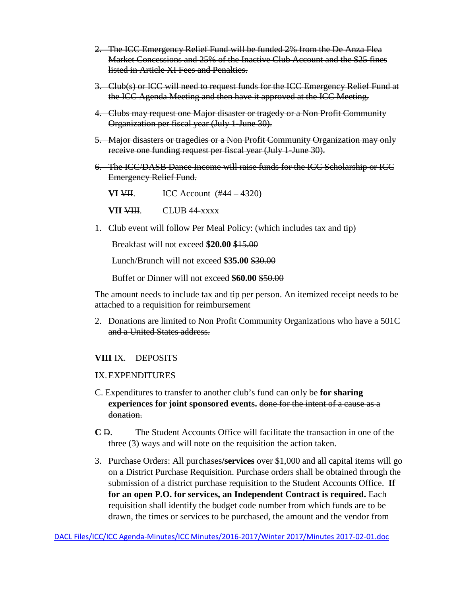- 2. The ICC Emergency Relief Fund will be funded 2% from the De Anza Flea Market Concessions and 25% of the Inactive Club Account and the \$25 fines listed in Article XI Fees and Penalties.
- 3. Club(s) or ICC will need to request funds for the ICC Emergency Relief Fund at the ICC Agenda Meeting and then have it approved at the ICC Meeting.
- 4. Clubs may request one Major disaster or tragedy or a Non Profit Community Organization per fiscal year (July 1-June 30).
- 5. Major disasters or tragedies or a Non Profit Community Organization may only receive one funding request per fiscal year (July 1-June 30).
- 6. The ICC/DASB Dance Income will raise funds for the ICC Scholarship or ICC Emergency Relief Fund.

**VI**  $\times$ **III.** ICC Account  $(#44 - 4320)$ 

**VII VIII.** CLUB 44-xxxx

1. Club event will follow Per Meal Policy: (which includes tax and tip)

Breakfast will not exceed **\$20.00** \$15.00

Lunch/Brunch will not exceed **\$35.00** \$30.00

Buffet or Dinner will not exceed **\$60.00** \$50.00

The amount needs to include tax and tip per person. An itemized receipt needs to be attached to a requisition for reimbursement

2. Donations are limited to Non Profit Community Organizations who have a 501C and a United States address.

# **VIII** IX. DEPOSITS

#### **I**X.EXPENDITURES

- C. Expenditures to transfer to another club's fund can only be **for sharing experiences for joint sponsored events.** done for the intent of a cause as a donation.
- **C** D. The Student Accounts Office will facilitate the transaction in one of the three (3) ways and will note on the requisition the action taken.
- 3. Purchase Orders: All purchases**/services** over \$1,000 and all capital items will go on a District Purchase Requisition. Purchase orders shall be obtained through the submission of a district purchase requisition to the Student Accounts Office. **If for an open P.O. for services, an Independent Contract is required.** Each requisition shall identify the budget code number from which funds are to be drawn, the times or services to be purchased, the amount and the vendor from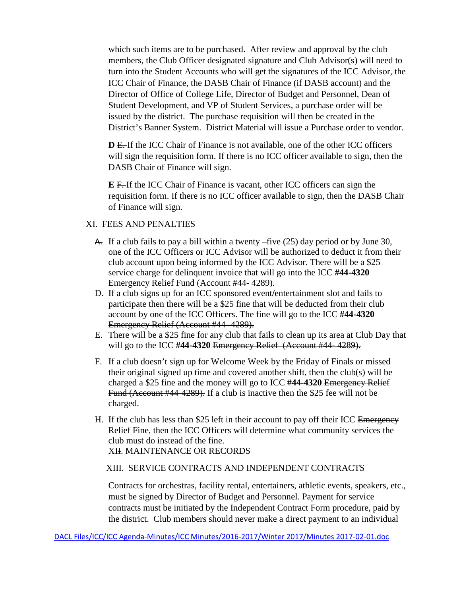which such items are to be purchased. After review and approval by the club members, the Club Officer designated signature and Club Advisor(s) will need to turn into the Student Accounts who will get the signatures of the ICC Advisor, the ICC Chair of Finance, the DASB Chair of Finance (if DASB account) and the Director of Office of College Life, Director of Budget and Personnel, Dean of Student Development, and VP of Student Services, a purchase order will be issued by the district. The purchase requisition will then be created in the District's Banner System. District Material will issue a Purchase order to vendor.

**D** E. If the ICC Chair of Finance is not available, one of the other ICC officers will sign the requisition form. If there is no ICC officer available to sign, then the DASB Chair of Finance will sign.

**E** F. If the ICC Chair of Finance is vacant, other ICC officers can sign the requisition form. If there is no ICC officer available to sign, then the DASB Chair of Finance will sign.

#### XI. FEES AND PENALTIES

- $\overline{A}$ . If a club fails to pay a bill within a twenty –five (25) day period or by June 30, one of the ICC Officers or ICC Advisor will be authorized to deduct it from their club account upon being informed by the ICC Advisor. There will be a \$25 service charge for delinquent invoice that will go into the ICC **#44-4320** Emergency Relief Fund (Account #44- 4289).
- D. If a club signs up for an ICC sponsored event**/**entertainment slot and fails to participate then there will be a \$25 fine that will be deducted from their club account by one of the ICC Officers. The fine will go to the ICC **#44-4320** Emergency Relief (Account #44- 4289).
- E. There will be a \$25 fine for any club that fails to clean up its area at Club Day that will go to the ICC **#44-4320** Emergency Relief (Account #44- 4289).
- F. If a club doesn't sign up for Welcome Week by the Friday of Finals or missed their original signed up time and covered another shift, then the club(s) will be charged a \$25 fine and the money will go to ICC **#44-4320** Emergency Relief Fund (Account #44-4289). If a club is inactive then the \$25 fee will not be charged.
- H. If the club has less than \$25 left in their account to pay off their ICC Emergency Relief Fine, then the ICC Officers will determine what community services the club must do instead of the fine. XII. MAINTENANCE OR RECORDS

#### XIII. SERVICE CONTRACTS AND INDEPENDENT CONTRACTS

Contracts for orchestras, facility rental, entertainers, athletic events, speakers, etc., must be signed by Director of Budget and Personnel. Payment for service contracts must be initiated by the Independent Contract Form procedure, paid by the district. Club members should never make a direct payment to an individual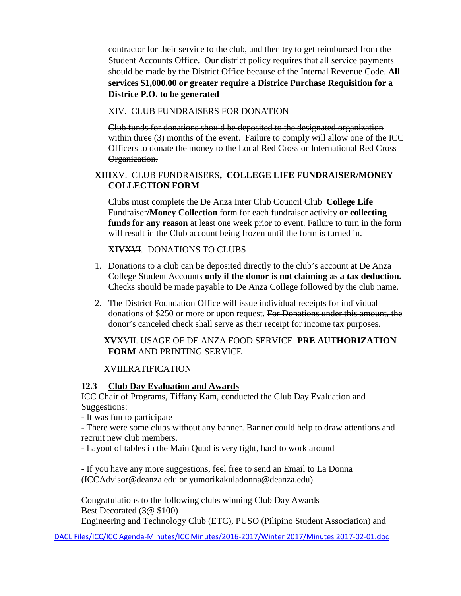contractor for their service to the club, and then try to get reimbursed from the Student Accounts Office. Our district policy requires that all service payments should be made by the District Office because of the Internal Revenue Code. **All services \$1,000.00 or greater require a Districe Purchase Requisition for a Districe P.O. to be generated**

XIV. CLUB FUNDRAISERS FOR DONATION

 Club funds for donations should be deposited to the designated organization within three (3) months of the event. Failure to comply will allow one of the ICC Officers to donate the money to the Local Red Cross or International Red Cross Organization.

# **XIII**XV. CLUB FUNDRAISERS**, COLLEGE LIFE FUNDRAISER/MONEY COLLECTION FORM**

Clubs must complete the De Anza Inter Club Council Club **College Life**  Fundraiser**/Money Collection** form for each fundraiser activity **or collecting funds for any reason** at least one week prior to event. Failure to turn in the form will result in the Club account being frozen until the form is turned in.

# **XIV**XVI. DONATIONS TO CLUBS

- 1. Donations to a club can be deposited directly to the club's account at De Anza College Student Accounts **only if the donor is not claiming as a tax deduction.** Checks should be made payable to De Anza College followed by the club name.
- 2. The District Foundation Office will issue individual receipts for individual donations of \$250 or more or upon request. For Donations under this amount, the donor's canceled check shall serve as their receipt for income tax purposes.

# **XV**XVII. USAGE OF DE ANZA FOOD SERVICE **PRE AUTHORIZATION FORM** AND PRINTING SERVICE

XVIII.RATIFICATION

# **12.3 Club Day Evaluation and Awards**

ICC Chair of Programs, Tiffany Kam, conducted the Club Day Evaluation and Suggestions:

- It was fun to participate

- There were some clubs without any banner. Banner could help to draw attentions and recruit new club members.

- Layout of tables in the Main Quad is very tight, hard to work around

- If you have any more suggestions, feel free to send an Email to La Donna (ICCAdvisor@deanza.edu or yumorikakuladonna@deanza.edu)

Congratulations to the following clubs winning Club Day Awards Best Decorated (3@ \$100)

Engineering and Technology Club (ETC), PUSO (Pilipino Student Association) and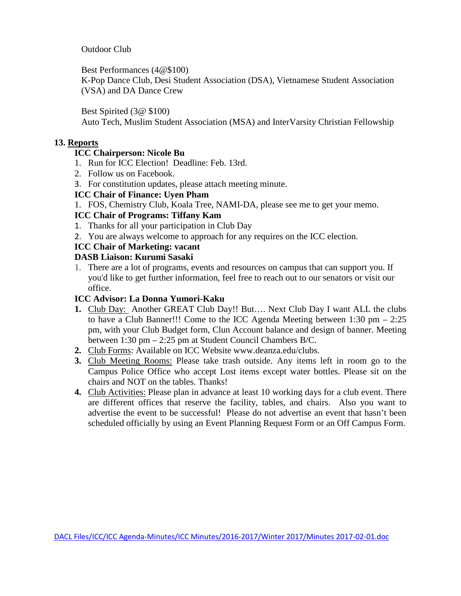Outdoor Club

Best Performances (4@\$100)

K-Pop Dance Club, Desi Student Association (DSA), Vietnamese Student Association (VSA) and DA Dance Crew

Best Spirited (3@ \$100)

Auto Tech, Muslim Student Association (MSA) and InterVarsity Christian Fellowship

#### **13. Reports**

# **ICC Chairperson: Nicole Bu**

- 1. Run for ICC Election! Deadline: Feb. 13rd.
- 2. Follow us on Facebook.
- 3. For constitution updates, please attach meeting minute.

#### **ICC Chair of Finance: Uyen Pham**

1. FOS, Chemistry Club, Koala Tree, NAMI-DA, please see me to get your memo.

# **ICC Chair of Programs: Tiffany Kam**

- 1. Thanks for all your participation in Club Day
- 2. You are always welcome to approach for any requires on the ICC election.

# **ICC Chair of Marketing: vacant**

# **DASB Liaison: Kurumi Sasaki**

1. There are a lot of programs, events and resources on campus that can support you. If you'd like to get further information, feel free to reach out to our senators or visit our office.

#### **ICC Advisor: La Donna Yumori-Kaku**

- **1.** Club Day: Another GREAT Club Day!! But…. Next Club Day I want ALL the clubs to have a Club Banner!!! Come to the ICC Agenda Meeting between 1:30 pm – 2:25 pm, with your Club Budget form, Clun Account balance and design of banner. Meeting between 1:30 pm – 2:25 pm at Student Council Chambers B/C.
- **2.** Club Forms: Available on ICC Website www.deanza.edu/clubs.
- **3.** Club Meeting Rooms: Please take trash outside. Any items left in room go to the Campus Police Office who accept Lost items except water bottles. Please sit on the chairs and NOT on the tables. Thanks!
- **4.** Club Activities: Please plan in advance at least 10 working days for a club event. There are different offices that reserve the facility, tables, and chairs. Also you want to advertise the event to be successful! Please do not advertise an event that hasn't been scheduled officially by using an Event Planning Request Form or an Off Campus Form.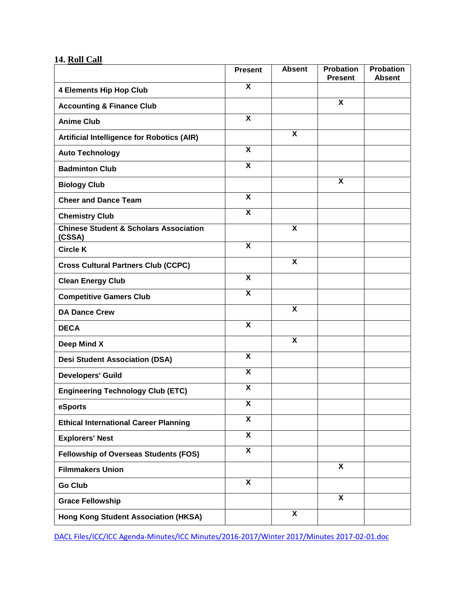# **14. Roll Call**

|                                                             | <b>Present</b>            | <b>Absent</b>           | <b>Probation</b><br><b>Present</b> | <b>Probation</b><br><b>Absent</b> |
|-------------------------------------------------------------|---------------------------|-------------------------|------------------------------------|-----------------------------------|
| <b>4 Elements Hip Hop Club</b>                              | $\overline{\mathbf{X}}$   |                         |                                    |                                   |
| <b>Accounting &amp; Finance Club</b>                        |                           |                         | X                                  |                                   |
| <b>Anime Club</b>                                           | $\overline{\mathbf{x}}$   |                         |                                    |                                   |
| <b>Artificial Intelligence for Robotics (AIR)</b>           |                           | X                       |                                    |                                   |
| <b>Auto Technology</b>                                      | $\boldsymbol{\mathsf{X}}$ |                         |                                    |                                   |
| <b>Badminton Club</b>                                       | $\boldsymbol{\mathsf{X}}$ |                         |                                    |                                   |
| <b>Biology Club</b>                                         |                           |                         | $\overline{\mathbf{X}}$            |                                   |
| <b>Cheer and Dance Team</b>                                 | $\boldsymbol{\mathsf{X}}$ |                         |                                    |                                   |
| <b>Chemistry Club</b>                                       | $\overline{\mathbf{x}}$   |                         |                                    |                                   |
| <b>Chinese Student &amp; Scholars Association</b><br>(CSSA) |                           | X                       |                                    |                                   |
| <b>Circle K</b>                                             | $\overline{\mathbf{x}}$   |                         |                                    |                                   |
| <b>Cross Cultural Partners Club (CCPC)</b>                  |                           | $\overline{\mathbf{x}}$ |                                    |                                   |
| <b>Clean Energy Club</b>                                    | $\boldsymbol{\mathsf{X}}$ |                         |                                    |                                   |
| <b>Competitive Gamers Club</b>                              | $\overline{\mathbf{x}}$   |                         |                                    |                                   |
| <b>DA Dance Crew</b>                                        |                           | X                       |                                    |                                   |
| <b>DECA</b>                                                 | $\boldsymbol{\mathsf{X}}$ |                         |                                    |                                   |
| Deep Mind X                                                 |                           | $\pmb{\mathsf{X}}$      |                                    |                                   |
| <b>Desi Student Association (DSA)</b>                       | X                         |                         |                                    |                                   |
| <b>Developers' Guild</b>                                    | $\overline{\mathbf{x}}$   |                         |                                    |                                   |
| <b>Engineering Technology Club (ETC)</b>                    | $\boldsymbol{\mathsf{X}}$ |                         |                                    |                                   |
| eSports                                                     | $\overline{\mathbf{X}}$   |                         |                                    |                                   |
| <b>Ethical International Career Planning</b>                | $\overline{\mathbf{x}}$   |                         |                                    |                                   |
| <b>Explorers' Nest</b>                                      | $\overline{\mathbf{x}}$   |                         |                                    |                                   |
| <b>Fellowship of Overseas Students (FOS)</b>                | $\overline{\mathbf{X}}$   |                         |                                    |                                   |
| <b>Filmmakers Union</b>                                     |                           |                         | X                                  |                                   |
| <b>Go Club</b>                                              | $\boldsymbol{\mathsf{X}}$ |                         |                                    |                                   |
| <b>Grace Fellowship</b>                                     |                           |                         | X                                  |                                   |
| Hong Kong Student Association (HKSA)                        |                           | X                       |                                    |                                   |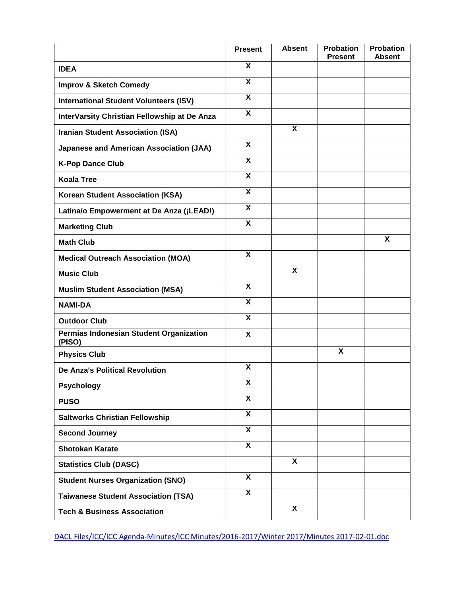|                                                   | <b>Present</b>            | <b>Absent</b>           | <b>Probation</b><br><b>Present</b> | <b>Probation</b><br><b>Absent</b> |
|---------------------------------------------------|---------------------------|-------------------------|------------------------------------|-----------------------------------|
| <b>IDEA</b>                                       | X                         |                         |                                    |                                   |
| <b>Improv &amp; Sketch Comedy</b>                 | $\overline{\mathbf{x}}$   |                         |                                    |                                   |
| <b>International Student Volunteers (ISV)</b>     | $\boldsymbol{\mathsf{X}}$ |                         |                                    |                                   |
| InterVarsity Christian Fellowship at De Anza      | $\boldsymbol{\mathsf{X}}$ |                         |                                    |                                   |
| <b>Iranian Student Association (ISA)</b>          |                           | X                       |                                    |                                   |
| <b>Japanese and American Association (JAA)</b>    | $\boldsymbol{\mathsf{X}}$ |                         |                                    |                                   |
| <b>K-Pop Dance Club</b>                           | $\boldsymbol{\mathsf{X}}$ |                         |                                    |                                   |
| <b>Koala Tree</b>                                 | X                         |                         |                                    |                                   |
| <b>Korean Student Association (KSA)</b>           | $\boldsymbol{\mathsf{X}}$ |                         |                                    |                                   |
| Latina/o Empowerment at De Anza (¡LEAD!)          | $\boldsymbol{\mathsf{X}}$ |                         |                                    |                                   |
| <b>Marketing Club</b>                             | X                         |                         |                                    |                                   |
| <b>Math Club</b>                                  |                           |                         |                                    | X                                 |
| <b>Medical Outreach Association (MOA)</b>         | $\boldsymbol{\mathsf{X}}$ |                         |                                    |                                   |
| <b>Music Club</b>                                 |                           | X                       |                                    |                                   |
| <b>Muslim Student Association (MSA)</b>           | $\boldsymbol{\mathsf{X}}$ |                         |                                    |                                   |
| <b>NAMI-DA</b>                                    | $\boldsymbol{\mathsf{X}}$ |                         |                                    |                                   |
| <b>Outdoor Club</b>                               | $\boldsymbol{\mathsf{X}}$ |                         |                                    |                                   |
| Permias Indonesian Student Organization<br>(PISO) | X                         |                         |                                    |                                   |
| <b>Physics Club</b>                               |                           |                         | X                                  |                                   |
| <b>De Anza's Political Revolution</b>             | $\boldsymbol{\mathsf{X}}$ |                         |                                    |                                   |
| <b>Psychology</b>                                 | X                         |                         |                                    |                                   |
| <b>PUSO</b>                                       | $\overline{\mathbf{x}}$   |                         |                                    |                                   |
| <b>Saltworks Christian Fellowship</b>             | $\overline{\mathbf{X}}$   |                         |                                    |                                   |
| <b>Second Journey</b>                             | $\overline{\mathbf{x}}$   |                         |                                    |                                   |
| <b>Shotokan Karate</b>                            | $\overline{\mathbf{x}}$   |                         |                                    |                                   |
| <b>Statistics Club (DASC)</b>                     |                           | $\overline{\mathbf{x}}$ |                                    |                                   |
| <b>Student Nurses Organization (SNO)</b>          | $\boldsymbol{\mathsf{X}}$ |                         |                                    |                                   |
| <b>Taiwanese Student Association (TSA)</b>        | $\overline{\mathbf{x}}$   |                         |                                    |                                   |
| <b>Tech &amp; Business Association</b>            |                           | X                       |                                    |                                   |